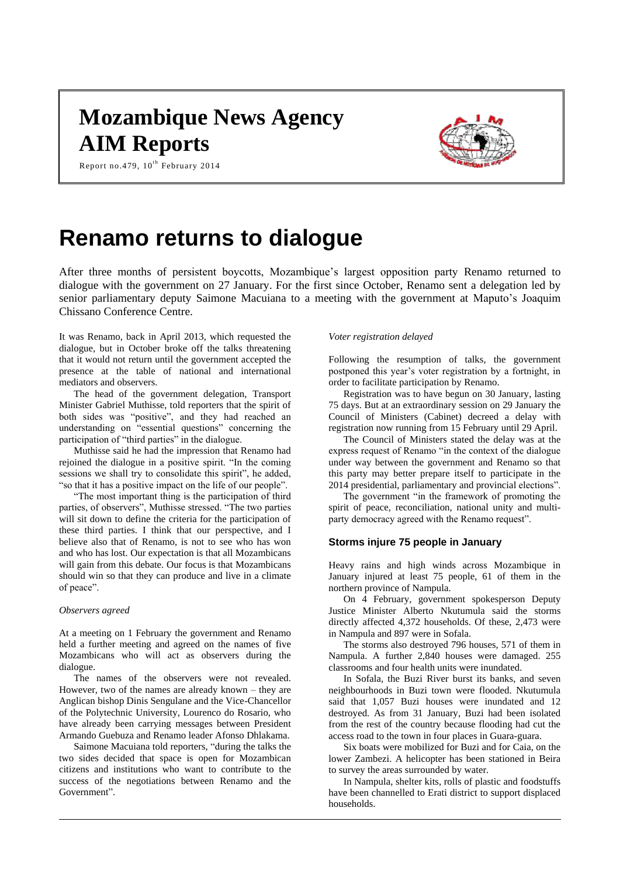# **Mozambique News Agency AIM Reports**



Report no.479,  $10^{\text{th}}$  February 2014

# **Renamo returns to dialogue**

After three months of persistent boycotts, Mozambique's largest opposition party Renamo returned to dialogue with the government on 27 January. For the first since October, Renamo sent a delegation led by senior parliamentary deputy Saimone Macuiana to a meeting with the government at Maputo's Joaquim Chissano Conference Centre.

It was Renamo, back in April 2013, which requested the dialogue, but in October broke off the talks threatening that it would not return until the government accepted the presence at the table of national and international mediators and observers.

The head of the government delegation, Transport Minister Gabriel Muthisse, told reporters that the spirit of both sides was "positive", and they had reached an understanding on "essential questions" concerning the participation of "third parties" in the dialogue.

Muthisse said he had the impression that Renamo had rejoined the dialogue in a positive spirit. "In the coming sessions we shall try to consolidate this spirit", he added, "so that it has a positive impact on the life of our people".

"The most important thing is the participation of third parties, of observers", Muthisse stressed. "The two parties will sit down to define the criteria for the participation of these third parties. I think that our perspective, and I believe also that of Renamo, is not to see who has won and who has lost. Our expectation is that all Mozambicans will gain from this debate. Our focus is that Mozambicans should win so that they can produce and live in a climate of peace".

## *Observers agreed*

At a meeting on 1 February the government and Renamo held a further meeting and agreed on the names of five Mozambicans who will act as observers during the dialogue.

The names of the observers were not revealed. However, two of the names are already known – they are Anglican bishop Dinis Sengulane and the Vice-Chancellor of the Polytechnic University, Lourenco do Rosario, who have already been carrying messages between President Armando Guebuza and Renamo leader Afonso Dhlakama.

Saimone Macuiana told reporters, "during the talks the two sides decided that space is open for Mozambican citizens and institutions who want to contribute to the success of the negotiations between Renamo and the Government".

### *Voter registration delayed*

Following the resumption of talks, the government postponed this year's voter registration by a fortnight, in order to facilitate participation by Renamo.

Registration was to have begun on 30 January, lasting 75 days. But at an extraordinary session on 29 January the Council of Ministers (Cabinet) decreed a delay with registration now running from 15 February until 29 April.

The Council of Ministers stated the delay was at the express request of Renamo "in the context of the dialogue under way between the government and Renamo so that this party may better prepare itself to participate in the 2014 presidential, parliamentary and provincial elections".

The government "in the framework of promoting the spirit of peace, reconciliation, national unity and multiparty democracy agreed with the Renamo request".

# **Storms injure 75 people in January**

Heavy rains and high winds across Mozambique in January injured at least 75 people, 61 of them in the northern province of Nampula.

On 4 February, government spokesperson Deputy Justice Minister Alberto Nkutumula said the storms directly affected 4,372 households. Of these, 2,473 were in Nampula and 897 were in Sofala.

The storms also destroyed 796 houses, 571 of them in Nampula. A further 2,840 houses were damaged. 255 classrooms and four health units were inundated.

In Sofala, the Buzi River burst its banks, and seven neighbourhoods in Buzi town were flooded. Nkutumula said that 1,057 Buzi houses were inundated and 12 destroyed. As from 31 January, Buzi had been isolated from the rest of the country because flooding had cut the access road to the town in four places in Guara-guara.

Six boats were mobilized for Buzi and for Caia, on the lower Zambezi. A helicopter has been stationed in Beira to survey the areas surrounded by water.

In Nampula, shelter kits, rolls of plastic and foodstuffs have been channelled to Erati district to support displaced households.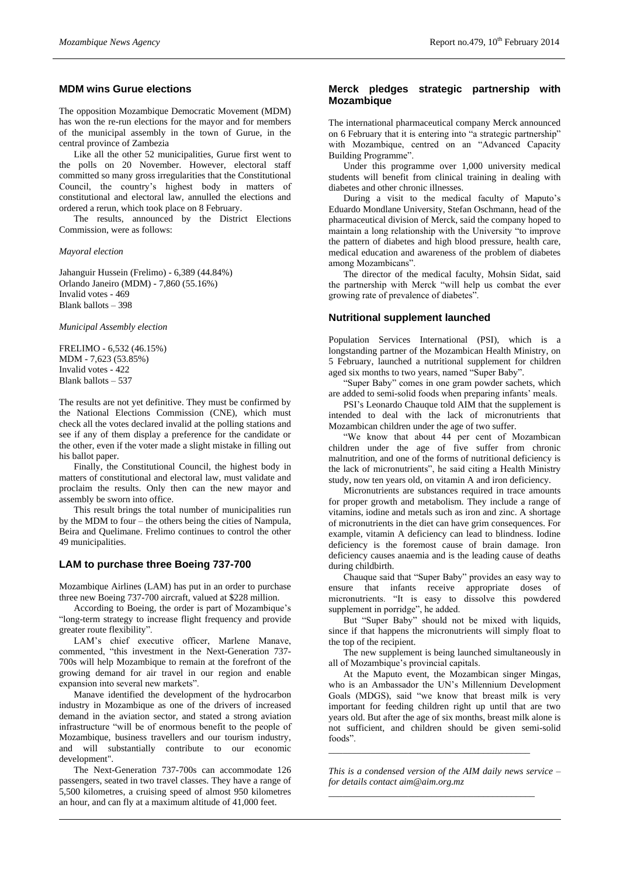# **MDM wins Gurue elections**

The opposition Mozambique Democratic Movement (MDM) has won the re-run elections for the mayor and for members of the municipal assembly in the town of Gurue, in the central province of Zambezia

Like all the other 52 municipalities, Gurue first went to the polls on 20 November. However, electoral staff committed so many gross irregularities that the Constitutional Council, the country's highest body in matters of constitutional and electoral law, annulled the elections and ordered a rerun, which took place on 8 February.

The results, announced by the District Elections Commission, were as follows:

*Mayoral election*

Jahanguir Hussein (Frelimo) - 6,389 (44.84%) Orlando Janeiro (MDM) - 7,860 (55.16%) Invalid votes - 469 Blank ballots – 398

*Municipal Assembly election*

FRELIMO - 6,532 (46.15%) MDM - 7,623 (53.85%) Invalid votes - 422 Blank ballots – 537

The results are not yet definitive. They must be confirmed by the National Elections Commission (CNE), which must check all the votes declared invalid at the polling stations and see if any of them display a preference for the candidate or the other, even if the voter made a slight mistake in filling out his ballot paper.

Finally, the Constitutional Council, the highest body in matters of constitutional and electoral law, must validate and proclaim the results. Only then can the new mayor and assembly be sworn into office.

This result brings the total number of municipalities run by the MDM to four – the others being the cities of Nampula, Beira and Quelimane. Frelimo continues to control the other 49 municipalities.

#### **LAM to purchase three Boeing 737-700**

Mozambique Airlines (LAM) has put in an order to purchase three new Boeing 737-700 aircraft, valued at \$228 million.

According to Boeing, the order is part of Mozambique's "long-term strategy to increase flight frequency and provide greater route flexibility".

LAM's chief executive officer, Marlene Manave, commented, "this investment in the Next-Generation 737- 700s will help Mozambique to remain at the forefront of the growing demand for air travel in our region and enable expansion into several new markets".

Manave identified the development of the hydrocarbon industry in Mozambique as one of the drivers of increased demand in the aviation sector, and stated a strong aviation infrastructure "will be of enormous benefit to the people of Mozambique, business travellers and our tourism industry, and will substantially contribute to our economic development".

The Next-Generation 737-700s can accommodate 126 passengers, seated in two travel classes. They have a range of 5,500 kilometres, a cruising speed of almost 950 kilometres an hour, and can fly at a maximum altitude of 41,000 feet.

## **Merck pledges strategic partnership with Mozambique**

The international pharmaceutical company Merck announced on 6 February that it is entering into "a strategic partnership" with Mozambique, centred on an "Advanced Capacity Building Programme".

Under this programme over 1,000 university medical students will benefit from clinical training in dealing with diabetes and other chronic illnesses.

During a visit to the medical faculty of Maputo's Eduardo Mondlane University, Stefan Oschmann, head of the pharmaceutical division of Merck, said the company hoped to maintain a long relationship with the University "to improve the pattern of diabetes and high blood pressure, health care, medical education and awareness of the problem of diabetes among Mozambicans".

The director of the medical faculty, Mohsin Sidat, said the partnership with Merck "will help us combat the ever growing rate of prevalence of diabetes".

#### **Nutritional supplement launched**

Population Services International (PSI), which is a longstanding partner of the Mozambican Health Ministry, on 5 February, launched a nutritional supplement for children aged six months to two years, named "Super Baby".

"Super Baby" comes in one gram powder sachets, which are added to semi-solid foods when preparing infants' meals.

PSI's Leonardo Chauque told AIM that the supplement is intended to deal with the lack of micronutrients that Mozambican children under the age of two suffer.

"We know that about 44 per cent of Mozambican children under the age of five suffer from chronic malnutrition, and one of the forms of nutritional deficiency is the lack of micronutrients", he said citing a Health Ministry study, now ten years old, on vitamin A and iron deficiency.

Micronutrients are substances required in trace amounts for proper growth and metabolism. They include a range of vitamins, iodine and metals such as iron and zinc. A shortage of micronutrients in the diet can have grim consequences. For example, vitamin A deficiency can lead to blindness. Iodine deficiency is the foremost cause of brain damage. Iron deficiency causes anaemia and is the leading cause of deaths during childbirth.

Chauque said that "Super Baby" provides an easy way to ensure that infants receive appropriate doses of micronutrients. "It is easy to dissolve this powdered supplement in porridge", he added.

But "Super Baby" should not be mixed with liquids, since if that happens the micronutrients will simply float to the top of the recipient.

The new supplement is being launched simultaneously in all of Mozambique's provincial capitals.

At the Maputo event, the Mozambican singer Mingas, who is an Ambassador the UN's Millennium Development Goals (MDGS), said "we know that breast milk is very important for feeding children right up until that are two years old. But after the age of six months, breast milk alone is not sufficient, and children should be given semi-solid foods".

*This is a condensed version of the AIM daily news service – for details contac[t aim@aim.org.mz](mailto:aim@aim.org.mz)*

*\_\_\_\_\_\_\_\_\_\_\_\_\_\_\_\_\_\_\_\_\_\_\_\_\_\_\_\_\_\_\_\_\_\_\_\_\_\_\_\_\_\_\_*

*\_\_\_\_\_\_\_\_\_\_\_\_\_\_\_\_\_\_\_\_\_\_\_\_\_\_\_\_\_\_\_\_\_\_\_\_\_\_\_\_\_\_\_\_*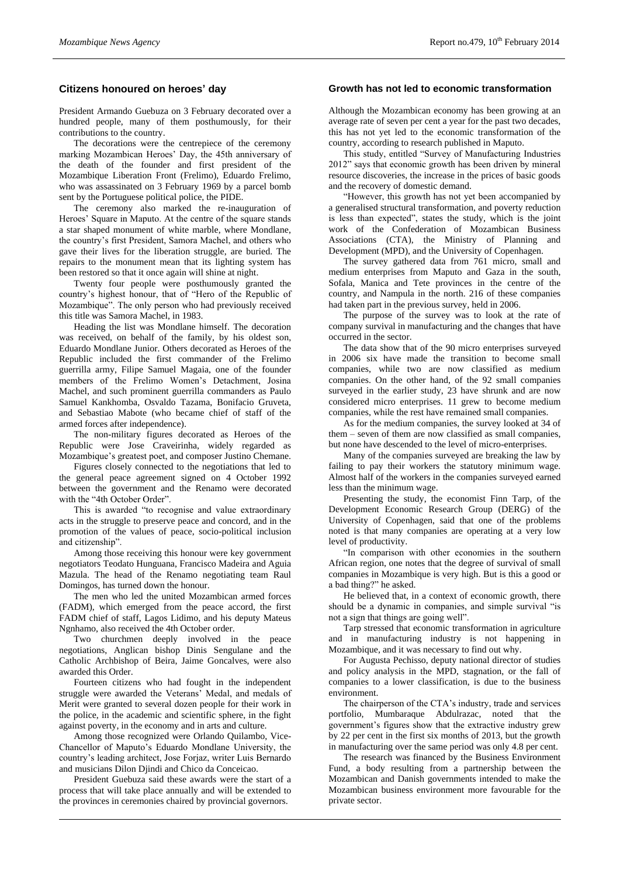## **Citizens honoured on heroes' day**

President Armando Guebuza on 3 February decorated over a hundred people, many of them posthumously, for their contributions to the country.

The decorations were the centrepiece of the ceremony marking Mozambican Heroes' Day, the 45th anniversary of the death of the founder and first president of the Mozambique Liberation Front (Frelimo), Eduardo Frelimo, who was assassinated on 3 February 1969 by a parcel bomb sent by the Portuguese political police, the PIDE.

The ceremony also marked the re-inauguration of Heroes' Square in Maputo. At the centre of the square stands a star shaped monument of white marble, where Mondlane, the country's first President, Samora Machel, and others who gave their lives for the liberation struggle, are buried. The repairs to the monument mean that its lighting system has been restored so that it once again will shine at night.

Twenty four people were posthumously granted the country's highest honour, that of "Hero of the Republic of Mozambique". The only person who had previously received this title was Samora Machel, in 1983.

Heading the list was Mondlane himself. The decoration was received, on behalf of the family, by his oldest son, Eduardo Mondlane Junior. Others decorated as Heroes of the Republic included the first commander of the Frelimo guerrilla army, Filipe Samuel Magaia, one of the founder members of the Frelimo Women's Detachment, Josina Machel, and such prominent guerrilla commanders as Paulo Samuel Kankhomba, Osvaldo Tazama, Bonifacio Gruveta, and Sebastiao Mabote (who became chief of staff of the armed forces after independence).

The non-military figures decorated as Heroes of the Republic were Jose Craveirinha, widely regarded as Mozambique's greatest poet, and composer Justino Chemane.

Figures closely connected to the negotiations that led to the general peace agreement signed on 4 October 1992 between the government and the Renamo were decorated with the "4th October Order".

This is awarded "to recognise and value extraordinary acts in the struggle to preserve peace and concord, and in the promotion of the values of peace, socio-political inclusion and citizenship".

Among those receiving this honour were key government negotiators Teodato Hunguana, Francisco Madeira and Aguia Mazula. The head of the Renamo negotiating team Raul Domingos, has turned down the honour.

The men who led the united Mozambican armed forces (FADM), which emerged from the peace accord, the first FADM chief of staff, Lagos Lidimo, and his deputy Mateus Ngnhamo, also received the 4th October order.

Two churchmen deeply involved in the peace negotiations, Anglican bishop Dinis Sengulane and the Catholic Archbishop of Beira, Jaime Goncalves, were also awarded this Order.

Fourteen citizens who had fought in the independent struggle were awarded the Veterans' Medal, and medals of Merit were granted to several dozen people for their work in the police, in the academic and scientific sphere, in the fight against poverty, in the economy and in arts and culture.

Among those recognized were Orlando Quilambo, Vice-Chancellor of Maputo's Eduardo Mondlane University, the country's leading architect, Jose Forjaz, writer Luis Bernardo and musicians Dilon Djindi and Chico da Conceicao.

President Guebuza said these awards were the start of a process that will take place annually and will be extended to the provinces in ceremonies chaired by provincial governors.

# **Growth has not led to economic transformation**

Although the Mozambican economy has been growing at an average rate of seven per cent a year for the past two decades, this has not yet led to the economic transformation of the country, according to research published in Maputo.

This study, entitled "Survey of Manufacturing Industries 2012" says that economic growth has been driven by mineral resource discoveries, the increase in the prices of basic goods and the recovery of domestic demand.

"However, this growth has not yet been accompanied by a generalised structural transformation, and poverty reduction is less than expected", states the study, which is the joint work of the Confederation of Mozambican Business Associations (CTA), the Ministry of Planning and Development (MPD), and the University of Copenhagen.

The survey gathered data from 761 micro, small and medium enterprises from Maputo and Gaza in the south, Sofala, Manica and Tete provinces in the centre of the country, and Nampula in the north. 216 of these companies had taken part in the previous survey, held in 2006.

The purpose of the survey was to look at the rate of company survival in manufacturing and the changes that have occurred in the sector.

The data show that of the 90 micro enterprises surveyed in 2006 six have made the transition to become small companies, while two are now classified as medium companies. On the other hand, of the 92 small companies surveyed in the earlier study, 23 have shrunk and are now considered micro enterprises. 11 grew to become medium companies, while the rest have remained small companies.

As for the medium companies, the survey looked at 34 of them – seven of them are now classified as small companies, but none have descended to the level of micro-enterprises.

Many of the companies surveyed are breaking the law by failing to pay their workers the statutory minimum wage. Almost half of the workers in the companies surveyed earned less than the minimum wage.

Presenting the study, the economist Finn Tarp, of the Development Economic Research Group (DERG) of the University of Copenhagen, said that one of the problems noted is that many companies are operating at a very low level of productivity.

"In comparison with other economies in the southern African region, one notes that the degree of survival of small companies in Mozambique is very high. But is this a good or a bad thing?" he asked.

He believed that, in a context of economic growth, there should be a dynamic in companies, and simple survival "is not a sign that things are going well".

Tarp stressed that economic transformation in agriculture and in manufacturing industry is not happening in Mozambique, and it was necessary to find out why.

For Augusta Pechisso, deputy national director of studies and policy analysis in the MPD, stagnation, or the fall of companies to a lower classification, is due to the business environment.

The chairperson of the CTA's industry, trade and services portfolio, Mumbaraque Abdulrazac, noted that the government's figures show that the extractive industry grew by 22 per cent in the first six months of 2013, but the growth in manufacturing over the same period was only 4.8 per cent.

The research was financed by the Business Environment Fund, a body resulting from a partnership between the Mozambican and Danish governments intended to make the Mozambican business environment more favourable for the private sector.